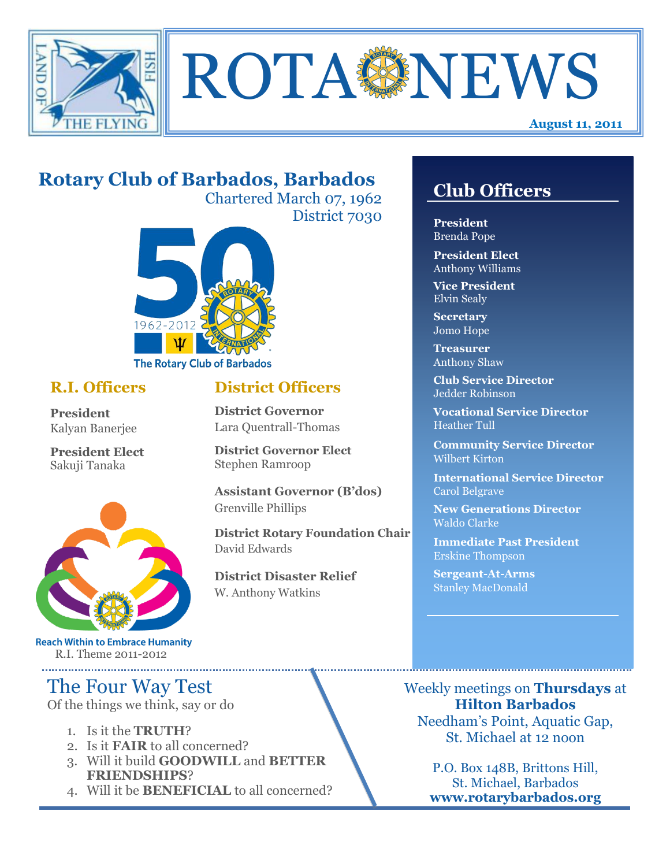

**ROTA NEWS** 

# **Rotary Club of Barbados, Barbados**

Chartered March 07, 1962 District 7030



## **R.I. Officers**

**President**  Kalyan Banerjee

**President Elect** Sakuji Tanaka



**Reach Within to Embrace Humanity** R.I. Theme 2011-2012

# The Four Way Test

Of the things we think, say or do

- 1. Is it the **TRUTH**?
- 2. Is it **FAIR** to all concerned?
- 3. Will it build **GOODWILL** and **BETTER FRIENDSHIPS**?
- 4. Will it be **BENEFICIAL** to all concerned?

# **Club Officers**

**Club Officers** 

**President** Brenda Pope

**President Elect** Anthony Williams

**Vice President** Elvin Sealy

**Secretary** Jomo Hope

**Treasurer** Anthony Shaw

**Club Service Director** Jedder Robinson

**Vocational Service Director** Heather Tull

**Community Service Director** Wilbert Kirton

**International Service Director** Carol Belgrave

**New Generations Director** Waldo Clarke

**Immediate Past President** Erskine Thompson

**Sergeant-At-Arms** Stanley MacDonald

Weekly meetings on **Thursdays** at **Hilton Barbados** Needham's Point, Aquatic Gap, St. Michael at 12 noon

> P.O. Box 148B, Brittons Hill, St. Michael, Barbados **www.rotarybarbados.org**

## **District Officers**

**District Governor** Lara Quentrall-Thomas

**District Governor Elect** Stephen Ramroop

**Assistant Governor (B'dos)** Grenville Phillips

**District Rotary Foundation Chair** David Edwards

**District Disaster Relief** W. Anthony Watkins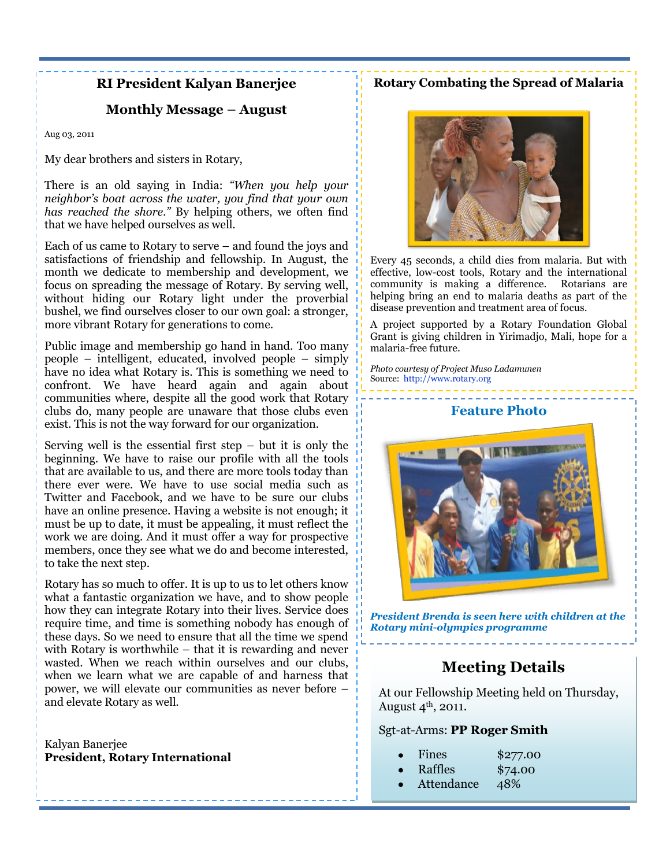### **RI President Kalyan Banerjee**

### **Monthly Message – August**

Aug 03, 2011

My dear brothers and sisters in Rotary,

There is an old saying in India: *"When you help your neighbor's boat across the water, you find that your own has reached the shore."* By helping others, we often find that we have helped ourselves as well.

Each of us came to Rotary to serve – and found the joys and satisfactions of friendship and fellowship. In August, the month we dedicate to membership and development, we focus on spreading the message of Rotary. By serving well, without hiding our Rotary light under the proverbial bushel, we find ourselves closer to our own goal: a stronger, more vibrant Rotary for generations to come.

Public image and membership go hand in hand. Too many people – intelligent, educated, involved people – simply have no idea what Rotary is. This is something we need to confront. We have heard again and again about communities where, despite all the good work that Rotary clubs do, many people are unaware that those clubs even exist. This is not the way forward for our organization.

Serving well is the essential first step  $-$  but it is only the beginning. We have to raise our profile with all the tools that are available to us, and there are more tools today than there ever were. We have to use social media such as Twitter and Facebook, and we have to be sure our clubs have an online presence. Having a website is not enough; it must be up to date, it must be appealing, it must reflect the work we are doing. And it must offer a way for prospective members, once they see what we do and become interested, to take the next step.

Rotary has so much to offer. It is up to us to let others know what a fantastic organization we have, and to show people how they can integrate Rotary into their lives. Service does require time, and time is something nobody has enough of these days. So we need to ensure that all the time we spend with Rotary is worthwhile – that it is rewarding and never wasted. When we reach within ourselves and our clubs, when we learn what we are capable of and harness that power, we will elevate our communities as never before – and elevate Rotary as well.

Kalyan Banerjee **President, Rotary International** 

### **Rotary Combating the Spread of Malaria**



Every 45 seconds, a child dies from malaria. But with effective, low-cost tools, Rotary and the international community is making a difference. Rotarians are helping bring an end to malaria deaths as part of the disease prevention and treatment area of focus.

A project supported by a Rotary Foundation Global Grant is giving children in Yirimadjo, Mali, hope for a malaria-free future.

*Photo courtesy of Project Muso Ladamunen*  Source: [http://www.rotary.org](http://www.rotary.org/)



*President Brenda is seen here with children at the Rotary mini-olympics programme*

## **Meeting Details**

At our Fellowship Meeting held on Thursday, August  $4^{\text{th}}$ , 2011.

#### Sgt-at-Arms: **PP Roger Smith**

|  | Fines | \$277.00 |
|--|-------|----------|
|--|-------|----------|

- Raffles \$74.00
- Attendance 48%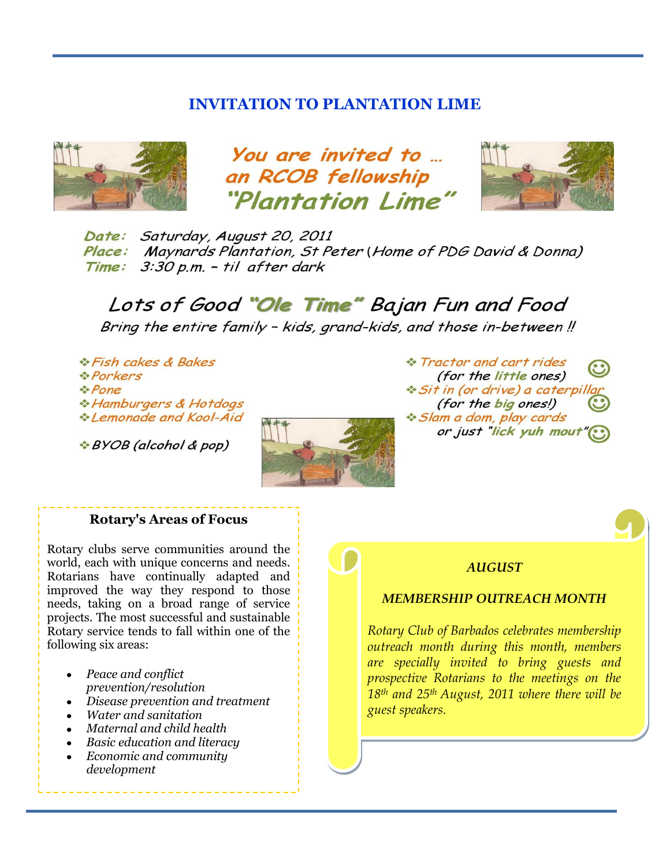### **INVITATION TO PLANTATION LIME**



You are invited to ... an RCOB fellowship "Plantation Lime"



Date: Saturday, August 20, 2011 Place: Maynards Plantation, St Peter (Home of PDG David & Donna) Time: 3:30 p.m. - til after dark

Lots of Good "Ole Time" Bajan Fun and Food Bring the entire family - kids, grand-kids, and those in-between!

*A Fish cakes & Bakes* **A** Porkers :Pone \* Hamburgers & Hotdogs \*Lemonade and Kool-Aid

\*BYOB (alcohol & pop)



\* Tractor and cart rides (for the little ones) *No Sit in (or drive) a caterpill* (for the big ones!) ☆ Slam a dom, play cards or just "lick yuh mout

#### **Rotary's Areas of Focus**

Rotary clubs serve communities around the world, each with unique concerns and needs. Rotarians have continually adapted and improved the way they respond to those needs, taking on a broad range of service projects. The most successful and sustainable Rotary service tends to fall within one of the following six areas:

- *Peace and conflict prevention/resolution*
- *Disease prevention and treatment*
- *Water and sanitation*
- *Maternal and child health*
- *Basic education and literacy*
- *Economic and community development*

#### *AUGUST*

#### *MEMBERSHIP OUTREACH MONTH*

*Rotary Club of Barbados celebrates membership outreach month during this month, members are specially invited to bring guests and prospective Rotarians to the meetings on the 18th and 25th August, 2011 where there will be guest speakers.*